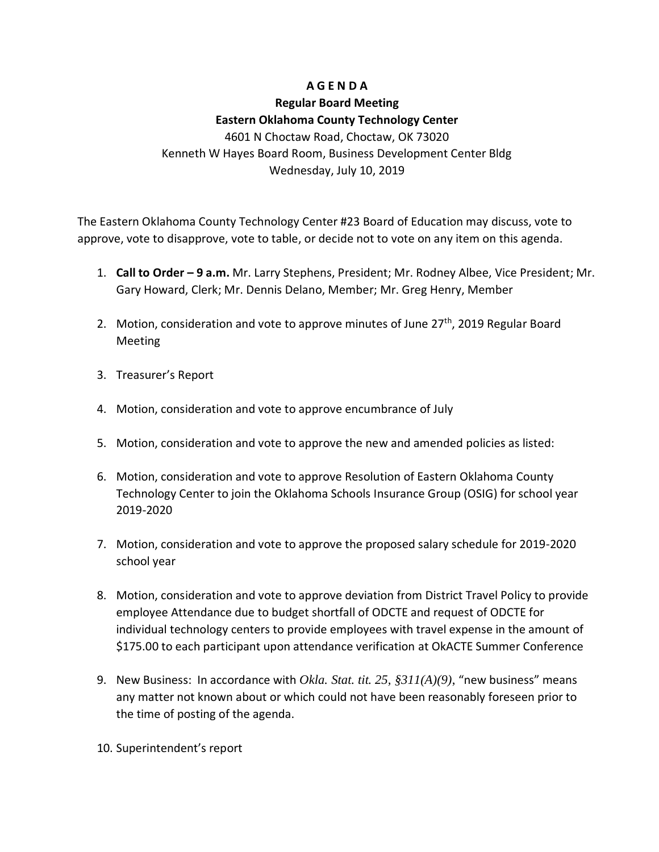### **A G E N D A**

# **Regular Board Meeting Eastern Oklahoma County Technology Center** 4601 N Choctaw Road, Choctaw, OK 73020

Kenneth W Hayes Board Room, Business Development Center Bldg Wednesday, July 10, 2019

The Eastern Oklahoma County Technology Center #23 Board of Education may discuss, vote to approve, vote to disapprove, vote to table, or decide not to vote on any item on this agenda.

- 1. **Call to Order – 9 a.m.** Mr. Larry Stephens, President; Mr. Rodney Albee, Vice President; Mr. Gary Howard, Clerk; Mr. Dennis Delano, Member; Mr. Greg Henry, Member
- 2. Motion, consideration and vote to approve minutes of June 27<sup>th</sup>, 2019 Regular Board Meeting
- 3. Treasurer's Report
- 4. Motion, consideration and vote to approve encumbrance of July
- 5. Motion, consideration and vote to approve the new and amended policies as listed:
- 6. Motion, consideration and vote to approve Resolution of Eastern Oklahoma County Technology Center to join the Oklahoma Schools Insurance Group (OSIG) for school year 2019-2020
- 7. Motion, consideration and vote to approve the proposed salary schedule for 2019-2020 school year
- 8. Motion, consideration and vote to approve deviation from District Travel Policy to provide employee Attendance due to budget shortfall of ODCTE and request of ODCTE for individual technology centers to provide employees with travel expense in the amount of \$175.00 to each participant upon attendance verification at OkACTE Summer Conference
- 9. New Business: In accordance with *Okla. Stat. tit. 25, §311(A)(9)*, "new business" means any matter not known about or which could not have been reasonably foreseen prior to the time of posting of the agenda.
- 10. Superintendent's report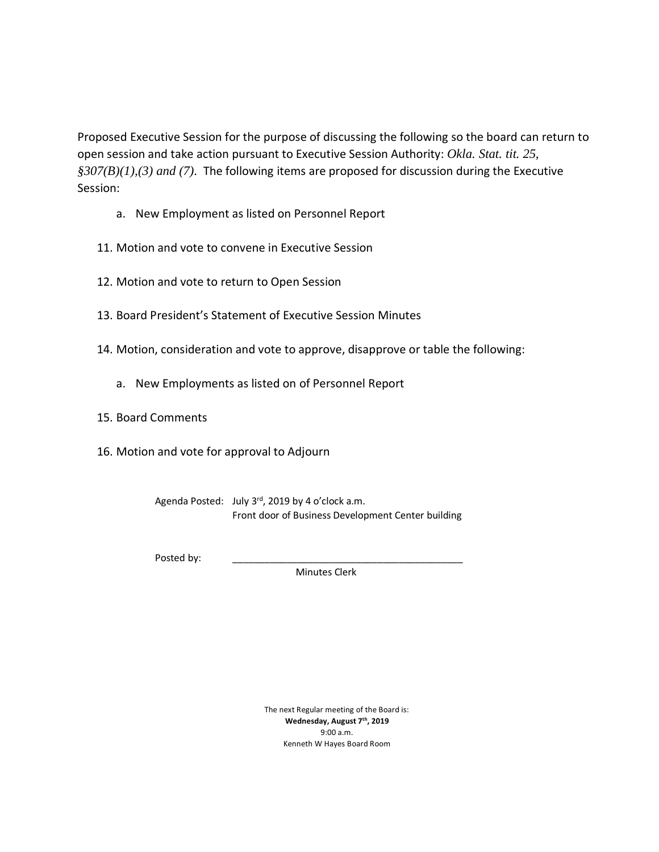Proposed Executive Session for the purpose of discussing the following so the board can return to open session and take action pursuant to Executive Session Authority: *Okla. Stat. tit. 25, §307(B)(1),(3) and (7).* The following items are proposed for discussion during the Executive Session:

- a. New Employment as listed on Personnel Report
- 11. Motion and vote to convene in Executive Session
- 12. Motion and vote to return to Open Session
- 13. Board President's Statement of Executive Session Minutes
- 14. Motion, consideration and vote to approve, disapprove or table the following:
	- a. New Employments as listed on of Personnel Report
- 15. Board Comments
- 16. Motion and vote for approval to Adjourn

Agenda Posted: July 3<sup>rd</sup>, 2019 by 4 o'clock a.m. Front door of Business Development Center building

Posted by:

Minutes Clerk

The next Regular meeting of the Board is: **Wednesday, August 7th , 2019** 9:00 a.m. Kenneth W Hayes Board Room